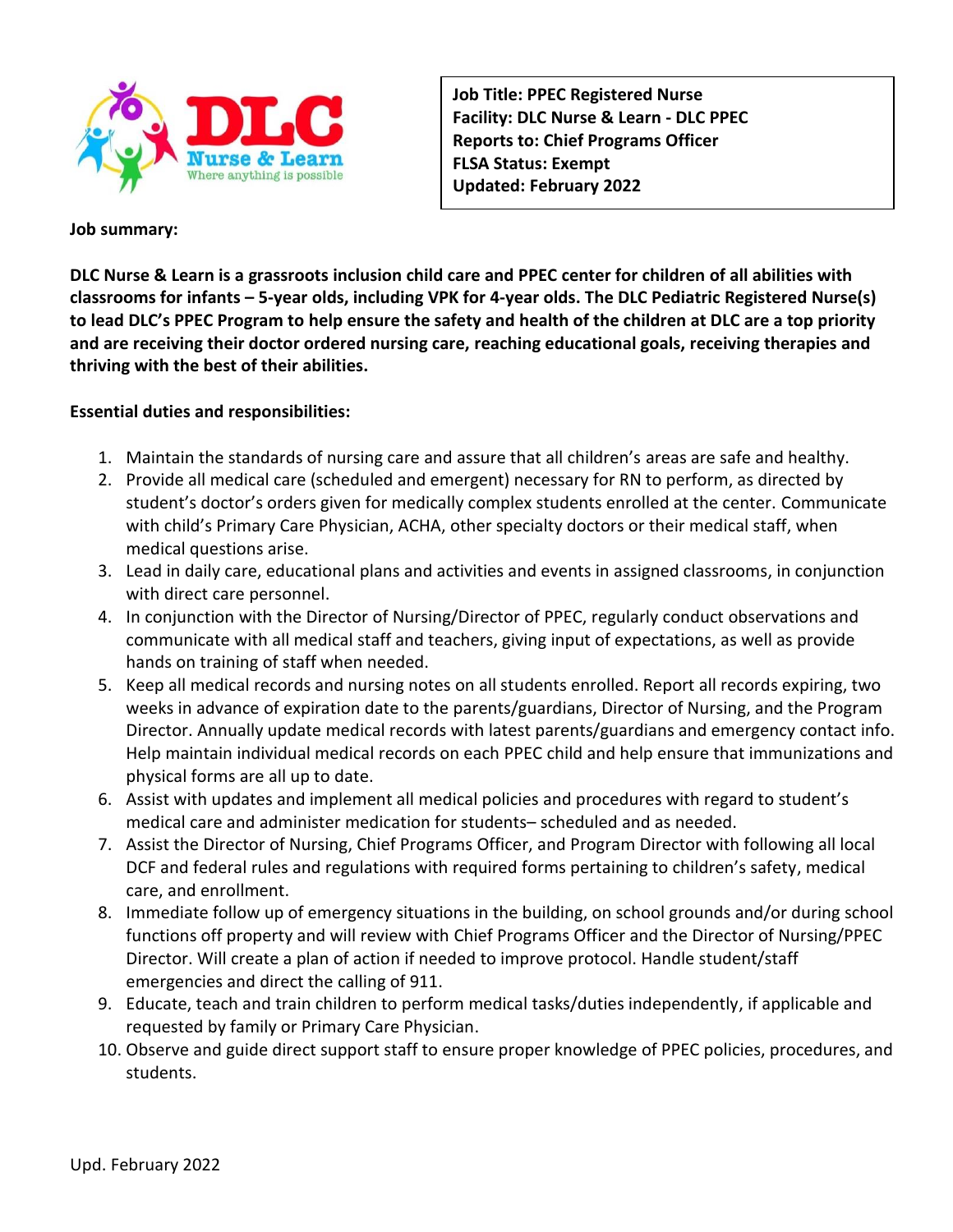

**Job Title: PPEC Registered Nurse Facility: DLC Nurse & Learn - DLC PPEC Reports to: Chief Programs Officer FLSA Status: Exempt Updated: February 2022**

### **Job summary:**

**DLC Nurse & Learn is a grassroots inclusion child care and PPEC center for children of all abilities with classrooms for infants – 5-year olds, including VPK for 4-year olds. The DLC Pediatric Registered Nurse(s) to lead DLC's PPEC Program to help ensure the safety and health of the children at DLC are a top priority and are receiving their doctor ordered nursing care, reaching educational goals, receiving therapies and thriving with the best of their abilities.**

## **Essential duties and responsibilities:**

- 1. Maintain the standards of nursing care and assure that all children's areas are safe and healthy.
- 2. Provide all medical care (scheduled and emergent) necessary for RN to perform, as directed by student's doctor's orders given for medically complex students enrolled at the center. Communicate with child's Primary Care Physician, ACHA, other specialty doctors or their medical staff, when medical questions arise.
- 3. Lead in daily care, educational plans and activities and events in assigned classrooms, in conjunction with direct care personnel.
- 4. In conjunction with the Director of Nursing/Director of PPEC, regularly conduct observations and communicate with all medical staff and teachers, giving input of expectations, as well as provide hands on training of staff when needed.
- 5. Keep all medical records and nursing notes on all students enrolled. Report all records expiring, two weeks in advance of expiration date to the parents/guardians, Director of Nursing, and the Program Director. Annually update medical records with latest parents/guardians and emergency contact info. Help maintain individual medical records on each PPEC child and help ensure that immunizations and physical forms are all up to date.
- 6. Assist with updates and implement all medical policies and procedures with regard to student's medical care and administer medication for students– scheduled and as needed.
- 7. Assist the Director of Nursing, Chief Programs Officer, and Program Director with following all local DCF and federal rules and regulations with required forms pertaining to children's safety, medical care, and enrollment.
- 8. Immediate follow up of emergency situations in the building, on school grounds and/or during school functions off property and will review with Chief Programs Officer and the Director of Nursing/PPEC Director. Will create a plan of action if needed to improve protocol. Handle student/staff emergencies and direct the calling of 911.
- 9. Educate, teach and train children to perform medical tasks/duties independently, if applicable and requested by family or Primary Care Physician.
- 10. Observe and guide direct support staff to ensure proper knowledge of PPEC policies, procedures, and students.